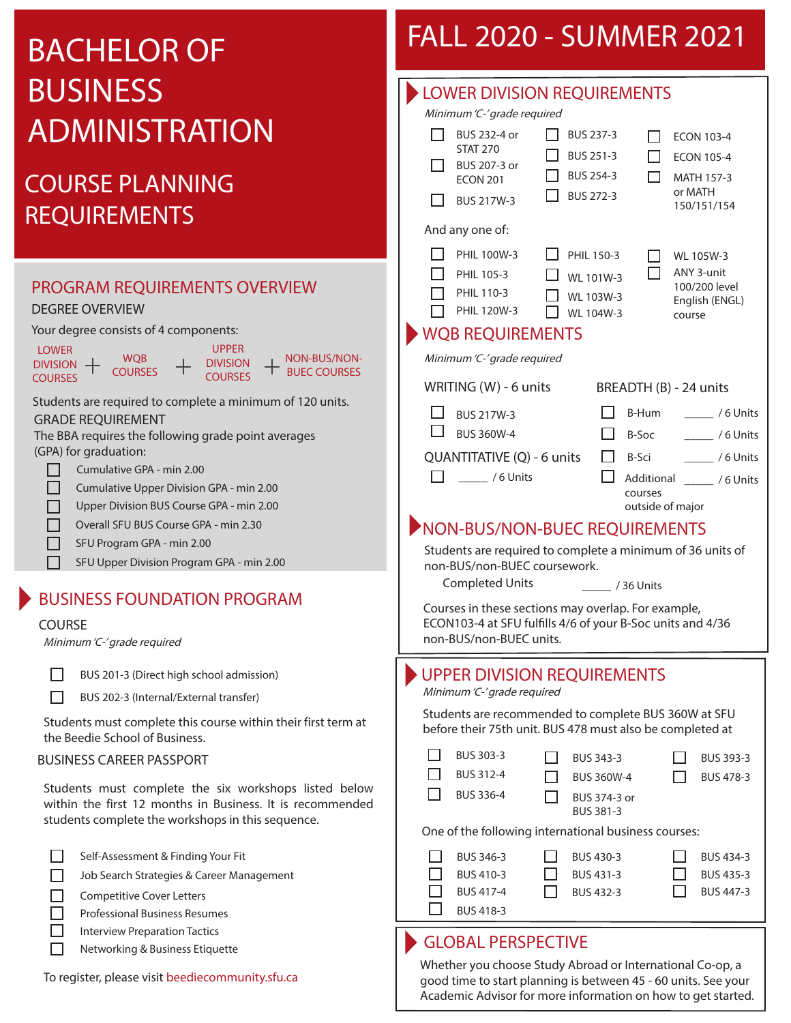# BACHELOR OF BUSINESS ADMINISTRATION

## COURSE PLANNING REQUIREMENTS

#### PROGRAM REQUIREMENTS OVERVIEW Your degree consists of 4 components: Students are required to complete a minimum of 120 units. **LOWER** DIVISION **COURSES WOB COURSES** UPPER DIVISION **COURSES** DEGREE OVERVIEW GRADE REQUIREMENT The BBA requires the following grade point averages (GPA) for graduation: NON-BUS/NON-BUEC COURSES

- П Cumulative GPA - min 2.00
- П Cumulative Upper Division GPA - min 2.00
- Upper Division BUS Course GPA min 2.00 П
- П Overall SFU BUS Course GPA - min 2.30
- SFU Program GPA min 2.00  $\Box$ 
	- SFU Upper Division Program GPA min 2.00

### BUSINESS FOUNDATION PROGRAM

#### COURSE

П

Minimum 'C-' grade required

BUS 201-3 (Direct high school admission)

BUS 202-3 (Internal/External transfer)

Students must complete this course within their first term at the Beedie School of Business.

#### BUSINESS CAREER PASSPORT

Students must complete the six workshops listed below within the first 12 months in Business. It is recommended students complete the workshops in this sequence.

- Self-Assessment & Finding Your Fit
- $\Box$ Job Search Strategies & Career Management
- П Competitive Cover Letters
- $\Box$ Professional Business Resumes
- Interview Preparation Tactics П
	- Networking & Business Etiquette

#### To register, please visit beediecommunity.sfu.ca

## FALL 2020 - SUMMER 2021

| <b>LOWER DIVISION REQUIREMENTS</b>                                                                                |                         |  |  |  |  |  |  |  |
|-------------------------------------------------------------------------------------------------------------------|-------------------------|--|--|--|--|--|--|--|
| Minimum 'C-' grade required                                                                                       |                         |  |  |  |  |  |  |  |
| BUS 232-4 or<br><b>ECON 103-4</b><br><b>STAT 270</b>                                                              |                         |  |  |  |  |  |  |  |
| BUS 251-3<br><b>ECON 105-4</b><br>BUS 207-3 or                                                                    |                         |  |  |  |  |  |  |  |
| $\overline{}$ BUS 254-3<br><b>MATH 157-3</b><br><b>ECON 201</b><br>or MATH<br>BUS 272-3                           |                         |  |  |  |  |  |  |  |
| BUS 217W-3<br>150/151/154                                                                                         |                         |  |  |  |  |  |  |  |
| And any one of:                                                                                                   |                         |  |  |  |  |  |  |  |
| PHIL 100W-3<br>$\Box$ PHIL 150-3<br>WL 105W-3                                                                     |                         |  |  |  |  |  |  |  |
| ANY 3-unit<br>PHIL 105-3<br>WL 101W-3<br>100/200 level                                                            |                         |  |  |  |  |  |  |  |
| PHIL 110-3<br>WL 103W-3<br>English (ENGL)<br>PHIL 120W-3<br>WL 104W-3                                             |                         |  |  |  |  |  |  |  |
| course<br><b>WQB REQUIREMENTS</b>                                                                                 |                         |  |  |  |  |  |  |  |
| Minimum 'C-' grade required                                                                                       |                         |  |  |  |  |  |  |  |
|                                                                                                                   |                         |  |  |  |  |  |  |  |
| WRITING (W) - 6 units<br>BREADTH (B) - 24 units                                                                   |                         |  |  |  |  |  |  |  |
| B-Hum<br><b>BUS 217W-3</b>                                                                                        | $\frac{1}{1}$ /6 Units  |  |  |  |  |  |  |  |
| <b>BUS 360W-4</b><br>B-Soc                                                                                        | $\frac{1}{1}$ / 6 Units |  |  |  |  |  |  |  |
| QUANTITATIVE (Q) - 6 units<br>$\Box$ B-Sci                                                                        | / 6 Units               |  |  |  |  |  |  |  |
| $\frac{1}{100}$ / 6 Units<br>П<br>Additional / 6 Units<br>courses                                                 |                         |  |  |  |  |  |  |  |
| outside of major                                                                                                  |                         |  |  |  |  |  |  |  |
|                                                                                                                   |                         |  |  |  |  |  |  |  |
| NON-BUS/NON-BUEC REQUIREMENTS                                                                                     |                         |  |  |  |  |  |  |  |
| Students are required to complete a minimum of 36 units of                                                        |                         |  |  |  |  |  |  |  |
| non-BUS/non-BUEC coursework.                                                                                      |                         |  |  |  |  |  |  |  |
| <b>Completed Units</b><br>$\frac{1}{2}$ / 36 Units                                                                |                         |  |  |  |  |  |  |  |
| Courses in these sections may overlap. For example,<br>ECON103-4 at SFU fulfills 4/6 of your B-Soc units and 4/36 |                         |  |  |  |  |  |  |  |
| non-BUS/non-BUEC units.                                                                                           |                         |  |  |  |  |  |  |  |
| <b>UPPER DIVISION REQUIREMENTS</b>                                                                                |                         |  |  |  |  |  |  |  |
| Minimum 'C-' grade required                                                                                       |                         |  |  |  |  |  |  |  |
| Students are recommended to complete BUS 360W at SFU<br>before their 75th unit. BUS 478 must also be completed at |                         |  |  |  |  |  |  |  |
| BUS 303-3<br>BUS 343-3                                                                                            | BUS 393-3               |  |  |  |  |  |  |  |
| BUS 312-4<br>BUS 360W-4                                                                                           | BUS 478-3               |  |  |  |  |  |  |  |
| BUS 336-4<br>BUS 374-3 or                                                                                         |                         |  |  |  |  |  |  |  |
| <b>BUS 381-3</b><br>One of the following international business courses:                                          |                         |  |  |  |  |  |  |  |
| BUS 346-3<br>BUS 430-3                                                                                            | BUS 434-3               |  |  |  |  |  |  |  |
| BUS 410-3<br>BUS 431-3                                                                                            | BUS 435-3               |  |  |  |  |  |  |  |
| BUS 417-4<br>BUS 432-3                                                                                            | <b>BUS 447-3</b>        |  |  |  |  |  |  |  |
| <b>BUS 418-3</b>                                                                                                  |                         |  |  |  |  |  |  |  |

Whether you choose Study Abroad or International Co-op, a good time to start planning is between 45 - 60 units. See your Academic Advisor for more information on how to get started.